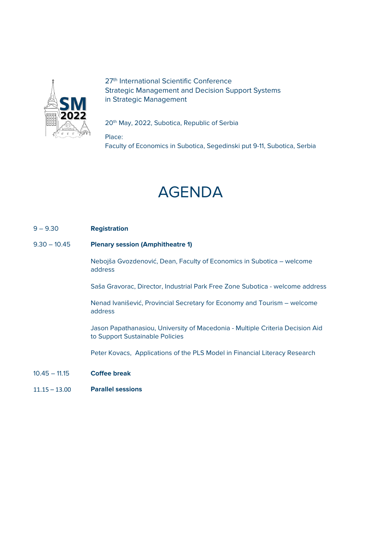

27<sup>th</sup> International Scientific Conference Strategic Management and Decision Support Systems in Strategic Management

20<sup>th</sup> May, 2022, Subotica, Republic of Serbia

Place:

Faculty of Economics in Subotica, Segedinski put 9-11, Subotica, Serbia



# 9 – 9.30 **Registration**

9.30 – 10.45 **Plenary session (Amphitheatre 1)**

Nebojša Gvozdenović, Dean, Faculty of Economics in Subotica – welcome address

Saša Gravorac, Director, Industrial Park Free Zone Subotica - welcome address

Nenad Ivanišević, Provincial Secretary for Economy and Tourism – welcome address

Jason Papathanasiou, University of Macedonia - Multiple Criteria Decision Aid to Support Sustainable Policies

Peter Kovacs, Applications of the PLS Model in Financial Literacy Research

- 10.45 11.15 **Coffee break**
- 11.15 13.00 **Parallel sessions**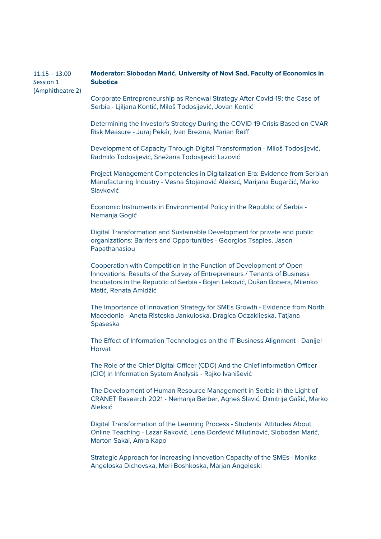## $11.15 - 13.00$ Session 1 (Amphitheatre 2) **Moderator: Slobodan Marić, University of Novi Sad, Faculty of Economics in Subotica**

Corporate Entrepreneurship as Renewal Strategy After Covid-19: the Case of Serbia - Ljiljana Kontić, Miloš Todosijević, Jovan Kontić

Determining the Investor's Strategy During the COVID-19 Crisis Based on CVAR Risk Measure - Juraj Pekár, Ivan Brezina, Marian Reiff

Development of Capacity Through Digital Transformation - Miloš Todosijević, Radmilo Todosijević, Snežana Todosijević Lazović

Project Management Competencies in Digitalization Era: Evidence from Serbian Manufacturing Industry - Vesna Stojanović Aleksić, Marijana Bugarčić, Marko Slavković

Economic Instruments in Environmental Policy in the Republic of Serbia - Nemanja Gogić

Digital Transformation and Sustainable Development for private and public organizations: Barriers and Opportunities - Georgios Tsaples, Jason Papathanasiou

Cooperation with Competition in the Function of Development of Open Innovations: Results of the Survey of Entrepreneurs / Tenants of Business Incubators in the Republic of Serbia - Bojan Leković, Dušan Bobera, Milenko Matić, Renata Amidžić

The Importance of Innovation Strategy for SMEs Growth - Evidence from North Macedonia - Aneta Risteska Jankuloska, Dragica Odzaklieska, Tatjana Spaseska

The Effect of Information Technologies on the IT Business Alignment - Danijel Horvat

The Role of the Chief Digital Officer (CDO) And the Chief Information Officer (CIO) in Information System Analysis - Rajko Ivanišević

The Development of Human Resource Management in Serbia in the Light of CRANET Research 2021 - Nemanja Berber, Agneš Slavić, Dimitrije Gašić, Marko Aleksić

Digital Transformation of the Learning Process - Students' Attitudes About Online Teaching - Lazar Raković, Lena Đorđević Milutinović, Slobodan Marić, Marton Sakal, Amra Kapo

Strategic Approach for Increasing Innovation Capacity of the SMEs - Monika Angeloska Dichovska, Meri Boshkoska, Marjan Angeleski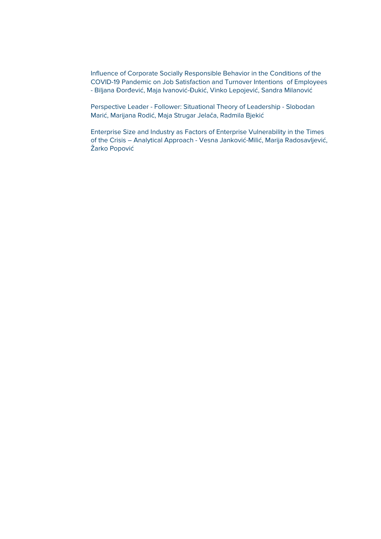Influence of Corporate Socially Responsible Behavior in the Conditions of the COVID-19 Pandemic on Job Satisfaction and Turnover Intentions of Employees - Biljana Đorđević, Maja Ivanović-Đukić, Vinko Lepojević, Sandra Milanović

Perspective Leader - Follower: Situational Theory of Leadership - Slobodan Marić, Marijana Rodić, Maja Strugar Jelača, Radmila Bjekić

Enterprise Size and Industry as Factors of Enterprise Vulnerability in the Times of the Crisis – Analytical Approach - Vesna Janković-Milić, Marija Radosavljević, Žarko Popović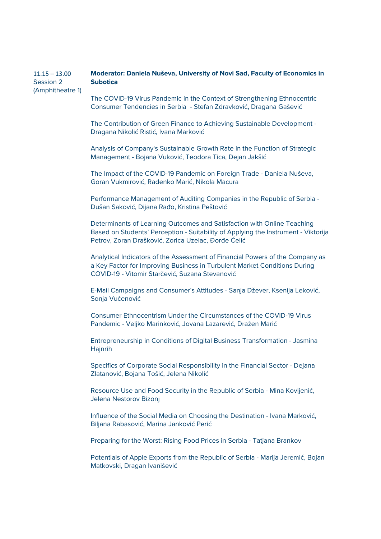## $11.15 - 13.00$ Session 2 (Amphitheatre 1) **Moderator: Daniela Nuševa, University of Novi Sad, Faculty of Economics in Subotica**

The COVID-19 Virus Pandemic in the Context of Strengthening Ethnocentric Consumer Tendencies in Serbia - Stefan Zdravković, Dragana Gašević

The Contribution of Green Finance to Achieving Sustainable Development - Dragana Nikolić Ristić, Ivana Marković

Analysis of Company's Sustainable Growth Rate in the Function of Strategic Management - Bojana Vuković, Teodora Tica, Dejan Jakšić

The Impact of the COVID-19 Pandemic on Foreign Trade - Daniela Nuševa, Goran Vukmirović, Radenko Marić, Nikola Macura

Performance Management of Auditing Companies in the Republic of Serbia - Dušan Saković, Dijana Rađo, Kristina Peštović

Determinants of Learning Outcomes and Satisfaction with Online Teaching Based on Students' Perception - Suitability of Applying the Instrument - Viktorija Petrov, Zoran Drašković, Zorica Uzelac, Đorđe Ćelić

Analytical Indicators of the Assessment of Financial Powers of the Company as a Key Factor for Improving Business in Turbulent Market Conditions During COVID-19 - Vitomir Starčević, Suzana Stevanović

E-Mail Campaigns and Consumer's Attitudes - Sanja Džever, Ksenija Leković, Sonja Vučenović

Consumer Ethnocentrism Under the Circumstances of the COVID-19 Virus Pandemic - Veljko Marinković, Jovana Lazarević, Dražen Marić

Entrepreneurship in Conditions of Digital Business Transformation - Jasmina **Hainrih** 

Specifics of Corporate Social Responsibility in the Financial Sector - Dejana Zlatanović, Bojana Tošić, Jelena Nikolić

Resource Use and Food Security in the Republic of Serbia - Mina Kovljenić, Jelena Nestorov Bizonj

Influence of the Social Media on Choosing the Destination - Ivana Marković, Biljana Rabasović, Marina Janković Perić

Preparing for the Worst: Rising Food Prices in Serbia - Tatjana Brankov

Potentials of Apple Exports from the Republic of Serbia - Marija Jeremić, Bojan Matkovski, Dragan Ivanišević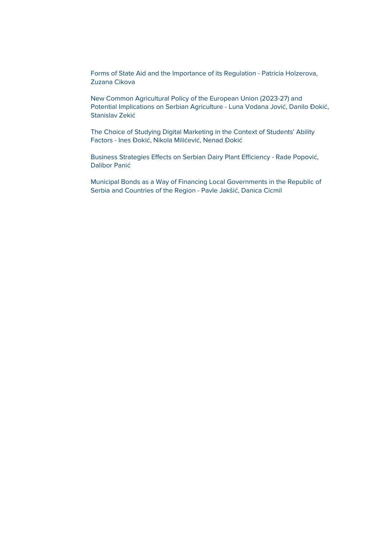Forms of State Aid and the Importance of its Regulation - Patricia Holzerova, Zuzana Cikova

New Common Agricultural Policy of the European Union (2023-27) and Potential Implications on Serbian Agriculture - Luna Vodana Jović, Danilo Đokić, Stanislav Zekić

The Choice of Studying Digital Marketing in the Context of Students' Ability Factors - Ines Đokić, Nikola Milićević, Nenad Đokić

Business Strategies Effects on Serbian Dairy Plant Efficiency - Rade Popović, Dalibor Panić

Municipal Bonds as a Way of Financing Local Governments in the Republic of Serbia and Countries of the Region - Pavle Jakšić, Danica Cicmil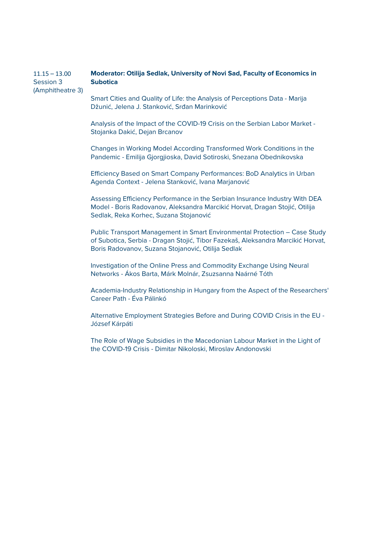## $11.15 - 13.00$ Session 3 (Amphitheatre 3) **Moderator: Otilija Sedlak, University of Novi Sad, Faculty of Economics in Subotica**

Smart Cities and Quality of Life: the Analysis of Perceptions Data - Marija Džunić, Jelena J. Stanković, Srđan Marinković

Analysis of the Impact of the COVID-19 Crisis on the Serbian Labor Market - Stojanka Dakić, Dejan Brcanov

Changes in Working Model According Transformed Work Conditions in the Pandemic - Emilija Gjorgjioska, David Sotiroski, Snezana Obednikovska

Efficiency Based on Smart Company Performances: BoD Analytics in Urban Agenda Context - Jelena Stanković, Ivana Marjanović

Assessing Efficiency Performance in the Serbian Insurance Industry With DEA Model - Boris Radovanov, Aleksandra Marcikić Horvat, Dragan Stojić, Otilija Sedlak, Reka Korhec, Suzana Stojanović

Public Transport Management in Smart Environmental Protection – Case Study of Subotica, Serbia - Dragan Stojić, Tibor Fazekaš, Aleksandra Marcikić Horvat, Boris Radovanov, Suzana Stojanović, Otilija Sedlak

Investigation of the Online Press and Commodity Exchange Using Neural Networks - Ákos Barta, Márk Molnár, Zsuzsanna Naárné Tóth

Academia-Industry Relationship in Hungary from the Aspect of the Researchers' Career Path - Éva Pálinkó

Alternative Employment Strategies Before and During COVID Crisis in the EU - József Kárpáti

The Role of Wage Subsidies in the Macedonian Labour Market in the Light of the COVID-19 Crisis - Dimitar Nikoloski, Miroslav Andonovski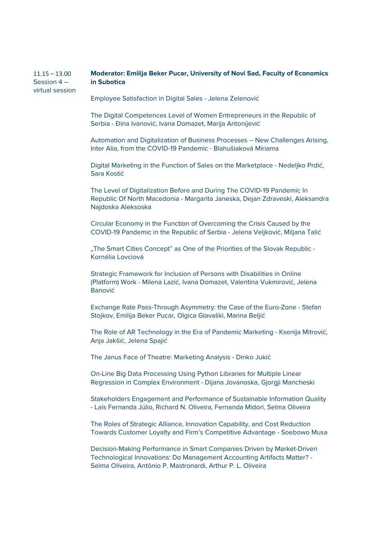#### $11.15 - 13.00$ Session 4 – virtual session **Moderator: Emilija Beker Pucar, University of Novi Sad, Faculty of Economics in Subotica**

Employee Satisfaction in Digital Sales - Jelena Zelenović

The Digital Competences Level of Women Entrepreneurs in the Republic of Serbia - Đina Ivanović, Ivana Domazet, Marija Antonijević

Automation and Digitalization of Business Processes – New Challenges Arising, Inter Alia, from the COVID-19 Pandemic - Blahušiaková Miriama

Digital Marketing in the Function of Sales on the Marketplace - Nedeljko Prdić, Sara Kostić

The Level of Digitalization Before and During The COVID-19 Pandemic In Republic Of North Macedonia - Margarita Janeska, Dejan Zdraveski, Aleksandra Najdoska Aleksoska

Circular Economy in the Function of Overcoming the Crisis Caused by the COVID-19 Pandemic in the Republic of Serbia - Jelena Veljković, Miljana Talić

"The Smart Cities Concept" as One of the Priorities of the Slovak Republic -Kornélia Lovciová

Strategic Framework for Inclusion of Persons with Disabilities in Online (Platform) Work - Milena Lazić, Ivana Domazet, Valentina Vukmirović, Jelena Banović

Exchange Rate Pass-Through Asymmetry: the Case of the Euro-Zone - Stefan Stojkov, Emilija Beker Pucar, Olgica Glavaški, Marina Beljić

The Role of AR Technology in the Era of Pandemic Marketing - Ksenija Mitrović, Anja Jakšić, Jelena Spajić

The Janus Face of Theatre: Marketing Analysis - Dinko Jukić

On-Line Big Data Processing Using Python Libraries for Multiple Linear Regression in Complex Environment - Dijana Jovanoska, Gjorgji Mancheski

Stakeholders Engagement and Performance of Sustainable Information Quality - Laís Fernanda Júlio, Richard N. Oliveira, Fernanda Midori, Selma Oliveira

The Roles of Strategic Alliance, Innovation Capability, and Cost Reduction Towards Customer Loyalty and Firm's Competitive Advantage - Soebowo Musa

Decision-Making Performance in Smart Companies Driven by Market-Driven Technological Innovations: Do Management Accounting Artifacts Matter? - Selma Oliveira, Antônio P. Mastronardi, Arthur P. L. Oliveira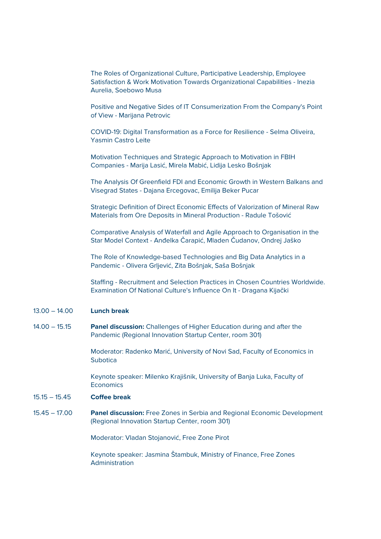The Roles of Organizational Culture, Participative Leadership, Employee Satisfaction & Work Motivation Towards Organizational Capabilities - Inezia Aurelia, Soebowo Musa

Positive and Negative Sides of IT Consumerization From the Company's Point of View - Marijana Petrovic

COVID-19: Digital Transformation as a Force for Resilience - Selma Oliveira, Yasmin Castro Leite

Motivation Techniques and Strategic Approach to Motivation in FBIH Companies - Marija Lasić, Mirela Mabić, Lidija Lesko Bošnjak

The Analysis Of Greenfield FDI and Economic Growth in Western Balkans and Visegrad States - Dajana Ercegovac, Emilija Beker Pucar

Strategic Definition of Direct Economic Effects of Valorization of Mineral Raw Materials from Ore Deposits in Mineral Production - Radule Tošović

Comparative Analysis of Waterfall and Agile Approach to Organisation in the Star Model Context - Anđelka Čarapić, Mladen Čudanov, Ondrej Jaško

The Role of Knowledge-based Technologies and Big Data Analytics in a Pandemic - Olivera Grljević, Zita Bošnjak, Saša Bošnjak

Staffing - Recruitment and Selection Practices in Chosen Countries Worldwide. Examination Of National Culture's Influence On It - Dragana Kijački

## 13.00 – 14.00 **Lunch break**

14.00 – 15.15 **Panel discussion:** Challenges of Higher Education during and after the Pandemic (Regional Innovation Startup Center, room 301)

> Moderator: Radenko Marić, University of Novi Sad, Faculty of Economics in Subotica

Keynote speaker: Milenko Krajišnik, University of Banja Luka, Faculty of **Economics** 

# 15.15 – 15.45 **Coffee break**

15.45 – 17.00 **Panel discussion:** Free Zones in Serbia and Regional Economic Development (Regional Innovation Startup Center, room 301)

Moderator: Vladan Stojanović, Free Zone Pirot

Keynote speaker: Jasmina Štambuk, Ministry of Finance, Free Zones Administration